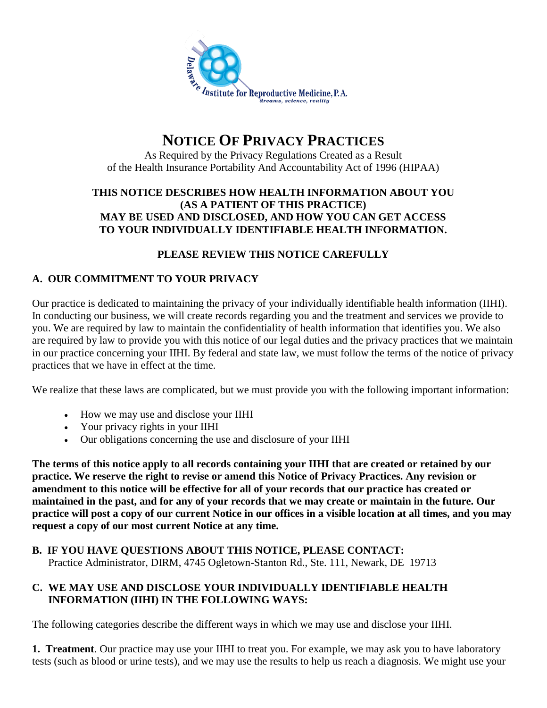

# **NOTICE OF PRIVACY PRACTICES**

As Required by the Privacy Regulations Created as a Result of the Health Insurance Portability And Accountability Act of 1996 (HIPAA)

#### **THIS NOTICE DESCRIBES HOW HEALTH INFORMATION ABOUT YOU (AS A PATIENT OF THIS PRACTICE) MAY BE USED AND DISCLOSED, AND HOW YOU CAN GET ACCESS TO YOUR INDIVIDUALLY IDENTIFIABLE HEALTH INFORMATION.**

#### **PLEASE REVIEW THIS NOTICE CAREFULLY**

#### **A. OUR COMMITMENT TO YOUR PRIVACY**

Our practice is dedicated to maintaining the privacy of your individually identifiable health information (IIHI). In conducting our business, we will create records regarding you and the treatment and services we provide to you. We are required by law to maintain the confidentiality of health information that identifies you. We also are required by law to provide you with this notice of our legal duties and the privacy practices that we maintain in our practice concerning your IIHI. By federal and state law, we must follow the terms of the notice of privacy practices that we have in effect at the time.

We realize that these laws are complicated, but we must provide you with the following important information:

- How we may use and disclose your IIHI
- Your privacy rights in your IIHI
- Our obligations concerning the use and disclosure of your IIHI

**The terms of this notice apply to all records containing your IIHI that are created or retained by our practice. We reserve the right to revise or amend this Notice of Privacy Practices. Any revision or amendment to this notice will be effective for all of your records that our practice has created or maintained in the past, and for any of your records that we may create or maintain in the future. Our practice will post a copy of our current Notice in our offices in a visible location at all times, and you may request a copy of our most current Notice at any time.**

#### **B. IF YOU HAVE QUESTIONS ABOUT THIS NOTICE, PLEASE CONTACT:** Practice Administrator, DIRM, 4745 Ogletown-Stanton Rd., Ste. 111, Newark, DE 19713

#### **C. WE MAY USE AND DISCLOSE YOUR INDIVIDUALLY IDENTIFIABLE HEALTH INFORMATION (IIHI) IN THE FOLLOWING WAYS:**

The following categories describe the different ways in which we may use and disclose your IIHI.

**1. Treatment**. Our practice may use your IIHI to treat you. For example, we may ask you to have laboratory tests (such as blood or urine tests), and we may use the results to help us reach a diagnosis. We might use your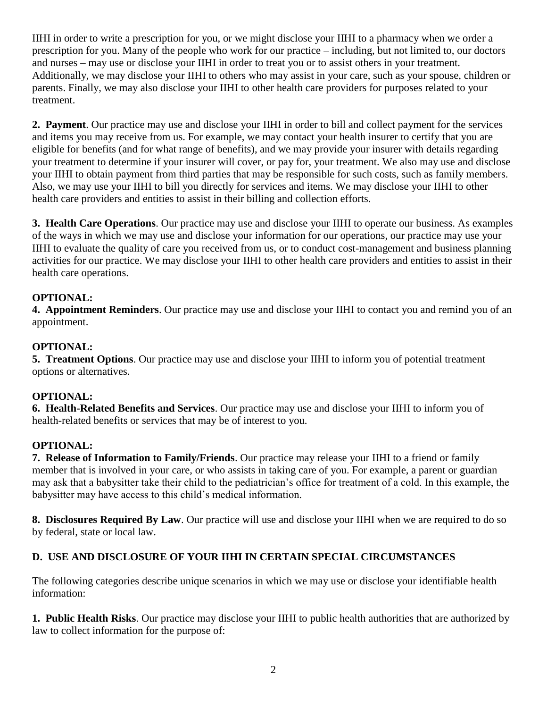IIHI in order to write a prescription for you, or we might disclose your IIHI to a pharmacy when we order a prescription for you. Many of the people who work for our practice – including, but not limited to, our doctors and nurses – may use or disclose your IIHI in order to treat you or to assist others in your treatment. Additionally, we may disclose your IIHI to others who may assist in your care, such as your spouse, children or parents. Finally, we may also disclose your IIHI to other health care providers for purposes related to your treatment.

**2. Payment**. Our practice may use and disclose your IIHI in order to bill and collect payment for the services and items you may receive from us. For example, we may contact your health insurer to certify that you are eligible for benefits (and for what range of benefits), and we may provide your insurer with details regarding your treatment to determine if your insurer will cover, or pay for, your treatment. We also may use and disclose your IIHI to obtain payment from third parties that may be responsible for such costs, such as family members. Also, we may use your IIHI to bill you directly for services and items. We may disclose your IIHI to other health care providers and entities to assist in their billing and collection efforts.

**3. Health Care Operations**. Our practice may use and disclose your IIHI to operate our business. As examples of the ways in which we may use and disclose your information for our operations, our practice may use your IIHI to evaluate the quality of care you received from us, or to conduct cost-management and business planning activities for our practice. We may disclose your IIHI to other health care providers and entities to assist in their health care operations.

#### **OPTIONAL:**

**4. Appointment Reminders**. Our practice may use and disclose your IIHI to contact you and remind you of an appointment.

### **OPTIONAL:**

**5. Treatment Options**. Our practice may use and disclose your IIHI to inform you of potential treatment options or alternatives.

#### **OPTIONAL:**

**6. Health-Related Benefits and Services**. Our practice may use and disclose your IIHI to inform you of health-related benefits or services that may be of interest to you.

#### **OPTIONAL:**

**7. Release of Information to Family/Friends**. Our practice may release your IIHI to a friend or family member that is involved in your care, or who assists in taking care of you. For example, a parent or guardian may ask that a babysitter take their child to the pediatrician's office for treatment of a cold. In this example, the babysitter may have access to this child's medical information.

**8. Disclosures Required By Law**. Our practice will use and disclose your IIHI when we are required to do so by federal, state or local law.

# **D. USE AND DISCLOSURE OF YOUR IIHI IN CERTAIN SPECIAL CIRCUMSTANCES**

The following categories describe unique scenarios in which we may use or disclose your identifiable health information:

**1. Public Health Risks**. Our practice may disclose your IIHI to public health authorities that are authorized by law to collect information for the purpose of: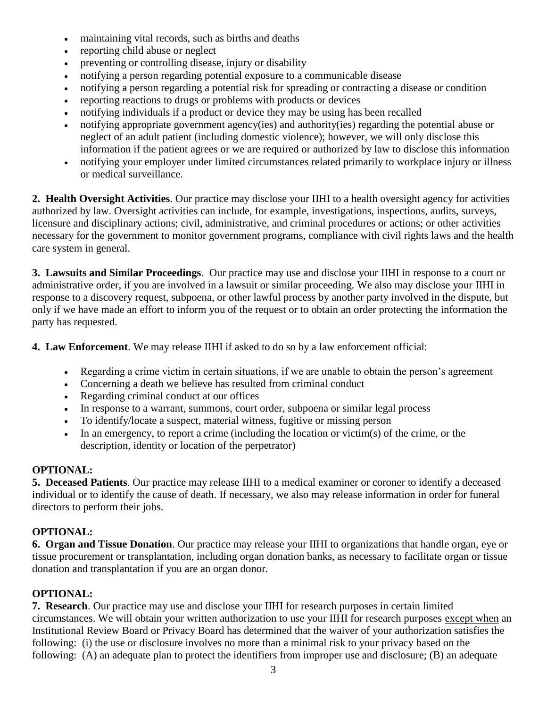- maintaining vital records, such as births and deaths
- reporting child abuse or neglect
- preventing or controlling disease, injury or disability
- notifying a person regarding potential exposure to a communicable disease
- notifying a person regarding a potential risk for spreading or contracting a disease or condition
- reporting reactions to drugs or problems with products or devices
- notifying individuals if a product or device they may be using has been recalled
- notifying appropriate government agency(ies) and authority(ies) regarding the potential abuse or neglect of an adult patient (including domestic violence); however, we will only disclose this information if the patient agrees or we are required or authorized by law to disclose this information
- notifying your employer under limited circumstances related primarily to workplace injury or illness or medical surveillance.

**2. Health Oversight Activities**. Our practice may disclose your IIHI to a health oversight agency for activities authorized by law. Oversight activities can include, for example, investigations, inspections, audits, surveys, licensure and disciplinary actions; civil, administrative, and criminal procedures or actions; or other activities necessary for the government to monitor government programs, compliance with civil rights laws and the health care system in general.

**3. Lawsuits and Similar Proceedings**. Our practice may use and disclose your IIHI in response to a court or administrative order, if you are involved in a lawsuit or similar proceeding. We also may disclose your IIHI in response to a discovery request, subpoena, or other lawful process by another party involved in the dispute, but only if we have made an effort to inform you of the request or to obtain an order protecting the information the party has requested.

**4. Law Enforcement**. We may release IIHI if asked to do so by a law enforcement official:

- Regarding a crime victim in certain situations, if we are unable to obtain the person's agreement
- Concerning a death we believe has resulted from criminal conduct
- Regarding criminal conduct at our offices
- In response to a warrant, summons, court order, subpoena or similar legal process
- To identify/locate a suspect, material witness, fugitive or missing person
- In an emergency, to report a crime (including the location or victim(s) of the crime, or the description, identity or location of the perpetrator)

# **OPTIONAL:**

**5. Deceased Patients**. Our practice may release IIHI to a medical examiner or coroner to identify a deceased individual or to identify the cause of death. If necessary, we also may release information in order for funeral directors to perform their jobs.

# **OPTIONAL:**

**6. Organ and Tissue Donation**. Our practice may release your IIHI to organizations that handle organ, eye or tissue procurement or transplantation, including organ donation banks, as necessary to facilitate organ or tissue donation and transplantation if you are an organ donor.

# **OPTIONAL:**

**7. Research**. Our practice may use and disclose your IIHI for research purposes in certain limited circumstances. We will obtain your written authorization to use your IIHI for research purposes except when an Institutional Review Board or Privacy Board has determined that the waiver of your authorization satisfies the following: (i) the use or disclosure involves no more than a minimal risk to your privacy based on the following: (A) an adequate plan to protect the identifiers from improper use and disclosure; (B) an adequate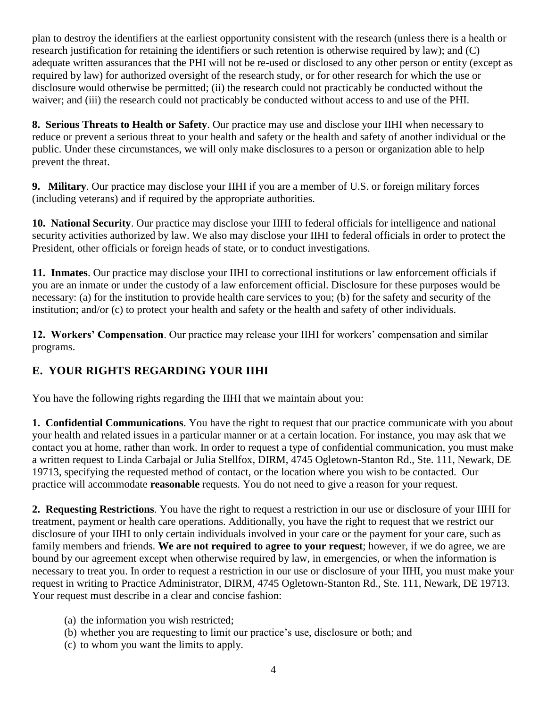plan to destroy the identifiers at the earliest opportunity consistent with the research (unless there is a health or research justification for retaining the identifiers or such retention is otherwise required by law); and (C) adequate written assurances that the PHI will not be re-used or disclosed to any other person or entity (except as required by law) for authorized oversight of the research study, or for other research for which the use or disclosure would otherwise be permitted; (ii) the research could not practicably be conducted without the waiver; and (iii) the research could not practicably be conducted without access to and use of the PHI.

**8. Serious Threats to Health or Safety**. Our practice may use and disclose your IIHI when necessary to reduce or prevent a serious threat to your health and safety or the health and safety of another individual or the public. Under these circumstances, we will only make disclosures to a person or organization able to help prevent the threat.

**9. Military**. Our practice may disclose your IIHI if you are a member of U.S. or foreign military forces (including veterans) and if required by the appropriate authorities.

**10. National Security**. Our practice may disclose your IIHI to federal officials for intelligence and national security activities authorized by law. We also may disclose your IIHI to federal officials in order to protect the President, other officials or foreign heads of state, or to conduct investigations.

**11. Inmates**. Our practice may disclose your IIHI to correctional institutions or law enforcement officials if you are an inmate or under the custody of a law enforcement official. Disclosure for these purposes would be necessary: (a) for the institution to provide health care services to you; (b) for the safety and security of the institution; and/or (c) to protect your health and safety or the health and safety of other individuals.

**12. Workers' Compensation**. Our practice may release your IIHI for workers' compensation and similar programs.

# **E. YOUR RIGHTS REGARDING YOUR IIHI**

You have the following rights regarding the IIHI that we maintain about you:

**1. Confidential Communications**. You have the right to request that our practice communicate with you about your health and related issues in a particular manner or at a certain location. For instance, you may ask that we contact you at home, rather than work. In order to request a type of confidential communication, you must make a written request to Linda Carbajal or Julia Stellfox, DIRM, 4745 Ogletown-Stanton Rd., Ste. 111, Newark, DE 19713, specifying the requested method of contact, or the location where you wish to be contacted. Our practice will accommodate **reasonable** requests. You do not need to give a reason for your request.

**2. Requesting Restrictions**. You have the right to request a restriction in our use or disclosure of your IIHI for treatment, payment or health care operations. Additionally, you have the right to request that we restrict our disclosure of your IIHI to only certain individuals involved in your care or the payment for your care, such as family members and friends. **We are not required to agree to your request**; however, if we do agree, we are bound by our agreement except when otherwise required by law, in emergencies, or when the information is necessary to treat you. In order to request a restriction in our use or disclosure of your IIHI, you must make your request in writing to Practice Administrator, DIRM, 4745 Ogletown-Stanton Rd., Ste. 111, Newark, DE 19713. Your request must describe in a clear and concise fashion:

- (a) the information you wish restricted;
- (b) whether you are requesting to limit our practice's use, disclosure or both; and
- (c) to whom you want the limits to apply.